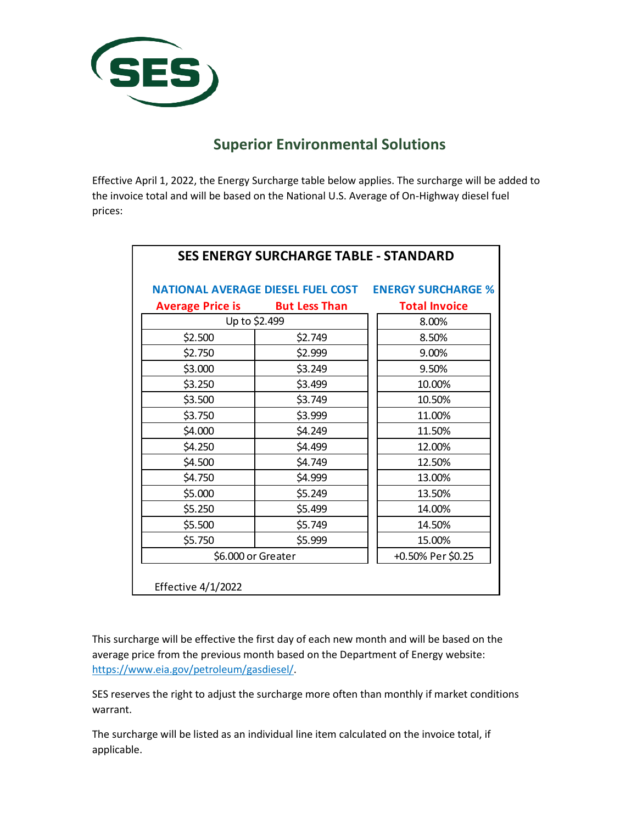

## **Superior Environmental Solutions**

T

Effective April 1, 2022, the Energy Surcharge table below applies. The surcharge will be added to the invoice total and will be based on the National U.S. Average of On-Highway diesel fuel prices:

|                         |                      | <b>NATIONAL AVERAGE DIESEL FUEL COST ENERGY SURCHARGE %</b> |
|-------------------------|----------------------|-------------------------------------------------------------|
| <b>Average Price is</b> | <b>But Less Than</b> | <b>Total Invoice</b>                                        |
| Up to \$2.499           |                      | 8.00%                                                       |
| \$2.500                 | \$2.749              | 8.50%                                                       |
| \$2.750                 | \$2.999              | 9.00%                                                       |
| \$3.000                 | \$3.249              | 9.50%                                                       |
| \$3.250                 | \$3.499              | 10.00%                                                      |
| \$3.500                 | \$3.749              | 10.50%                                                      |
| \$3.750                 | \$3.999              | 11.00%                                                      |
| \$4.000                 | \$4.249              | 11.50%                                                      |
| \$4.250                 | \$4.499              | 12.00%                                                      |
| \$4.500                 | \$4.749              | 12.50%                                                      |
| \$4.750                 | \$4.999              | 13.00%                                                      |
| \$5.000                 | \$5.249              | 13.50%                                                      |
| \$5.250                 | \$5.499              | 14.00%                                                      |
| \$5.500                 | \$5.749              | 14.50%                                                      |
| \$5.750                 | \$5.999              | 15.00%                                                      |
| \$6.000 or Greater      | +0.50% Per \$0.25    |                                                             |

This surcharge will be effective the first day of each new month and will be based on the average price from the previous month based on the Department of Energy website: https:[//www.eia.gov/petroleum/gasdiesel/.](http://www.eia.gov/petroleum/gasdiesel/)

SES reserves the right to adjust the surcharge more often than monthly if market conditions warrant.

The surcharge will be listed as an individual line item calculated on the invoice total, if applicable.